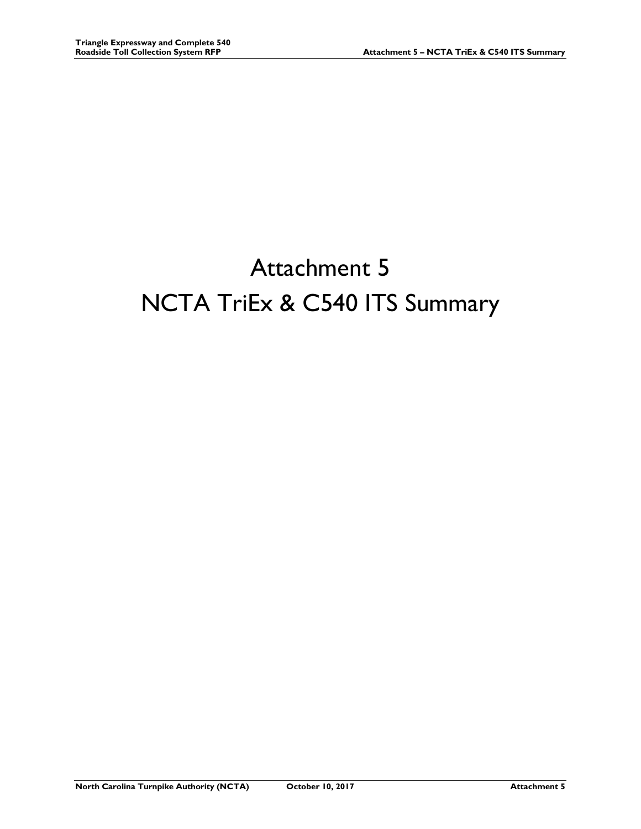## Attachment 5 NCTA TriEx & C540 ITS Summary